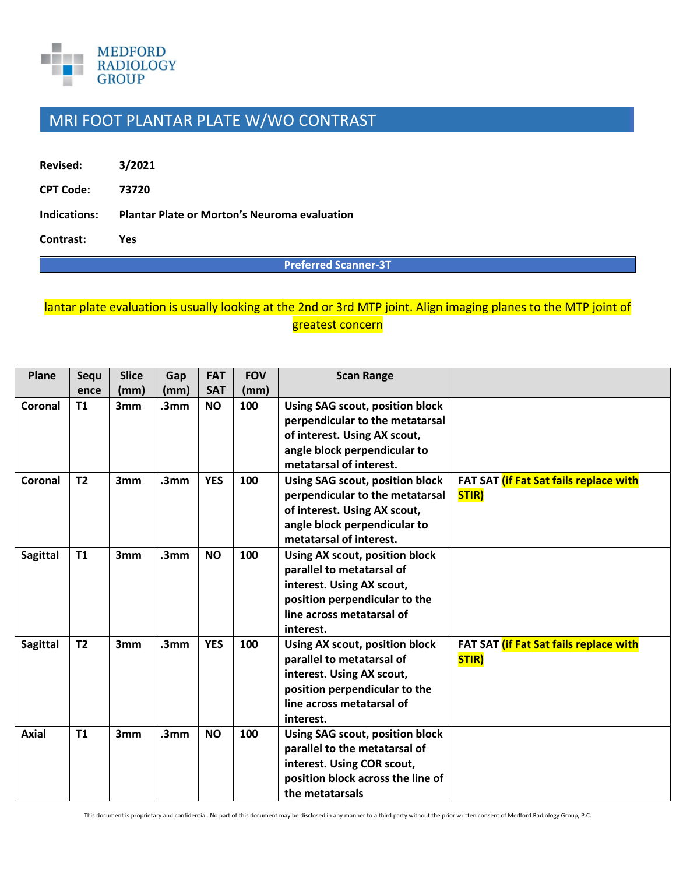

## MRI FOOT PLANTAR PLATE W/WO CONTRAST

**Revised: 3/2021 CPT Code: 73720 Indications: Plantar Plate or Morton's Neuroma evaluation** 

**Contrast: Yes** 

**Preferred Scanner-3T**

## lantar plate evaluation is usually looking at the 2nd or 3rd MTP joint. Align imaging planes to the MTP joint of greatest concern

| Plane           | Sequ           | <b>Slice</b> | Gap              | <b>FAT</b> | <b>FOV</b> | <b>Scan Range</b>                 |                                               |
|-----------------|----------------|--------------|------------------|------------|------------|-----------------------------------|-----------------------------------------------|
|                 | ence           | (mm)         | (mm)             | <b>SAT</b> | (mm)       |                                   |                                               |
| Coronal         | <b>T1</b>      | 3mm          | .3 <sub>mm</sub> | <b>NO</b>  | 100        | Using SAG scout, position block   |                                               |
|                 |                |              |                  |            |            | perpendicular to the metatarsal   |                                               |
|                 |                |              |                  |            |            | of interest. Using AX scout,      |                                               |
|                 |                |              |                  |            |            | angle block perpendicular to      |                                               |
|                 |                |              |                  |            |            | metatarsal of interest.           |                                               |
| Coronal         | T <sub>2</sub> | 3mm          | .3 <sub>mm</sub> | <b>YES</b> | 100        | Using SAG scout, position block   | FAT SAT (if Fat Sat fails replace with        |
|                 |                |              |                  |            |            | perpendicular to the metatarsal   | STIR)                                         |
|                 |                |              |                  |            |            | of interest. Using AX scout,      |                                               |
|                 |                |              |                  |            |            | angle block perpendicular to      |                                               |
|                 |                |              |                  |            |            | metatarsal of interest.           |                                               |
| <b>Sagittal</b> | T1             | 3mm          | .3 <sub>mm</sub> | <b>NO</b>  | 100        | Using AX scout, position block    |                                               |
|                 |                |              |                  |            |            | parallel to metatarsal of         |                                               |
|                 |                |              |                  |            |            | interest. Using AX scout,         |                                               |
|                 |                |              |                  |            |            | position perpendicular to the     |                                               |
|                 |                |              |                  |            |            | line across metatarsal of         |                                               |
|                 |                |              |                  |            |            | interest.                         |                                               |
| <b>Sagittal</b> | T <sub>2</sub> | 3mm          | .3 <sub>mm</sub> | <b>YES</b> | 100        | Using AX scout, position block    | FAT SAT <i>(if Fat Sat fails replace with</i> |
|                 |                |              |                  |            |            | parallel to metatarsal of         | STIR)                                         |
|                 |                |              |                  |            |            | interest. Using AX scout,         |                                               |
|                 |                |              |                  |            |            | position perpendicular to the     |                                               |
|                 |                |              |                  |            |            | line across metatarsal of         |                                               |
|                 |                |              |                  |            |            | interest.                         |                                               |
| <b>Axial</b>    | T1             | 3mm          | .3 <sub>mm</sub> | <b>NO</b>  | 100        | Using SAG scout, position block   |                                               |
|                 |                |              |                  |            |            | parallel to the metatarsal of     |                                               |
|                 |                |              |                  |            |            | interest. Using COR scout,        |                                               |
|                 |                |              |                  |            |            | position block across the line of |                                               |
|                 |                |              |                  |            |            | the metatarsals                   |                                               |

This document is proprietary and confidential. No part of this document may be disclosed in any manner to a third party without the prior written consent of Medford Radiology Group, P.C.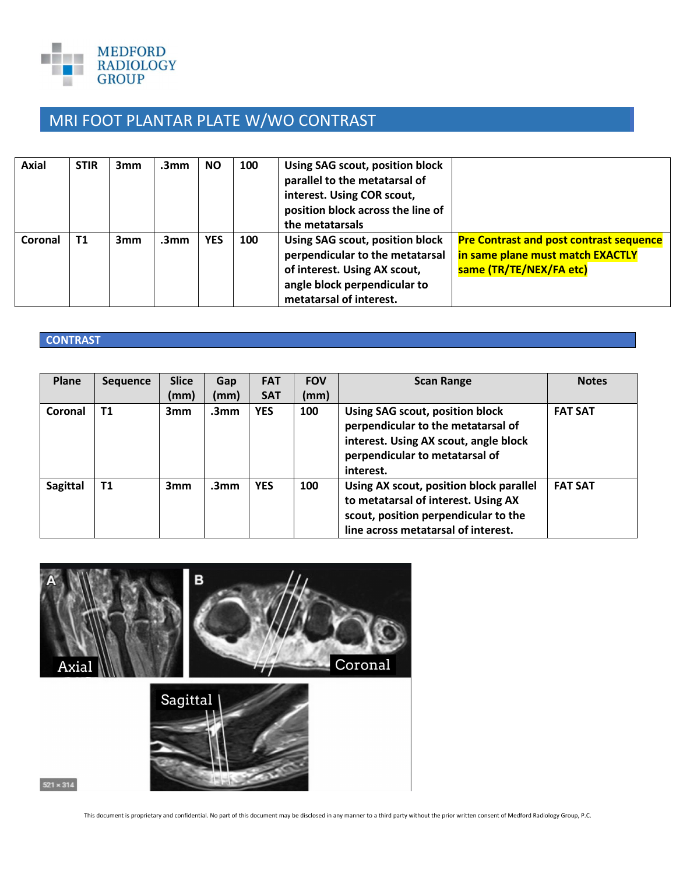

## MRI FOOT PLANTAR PLATE W/WO CONTRAST

| Axial   | <b>STIR</b> | 3mm | .3mm | <b>NO</b>  | 100 | Using SAG scout, position block<br>parallel to the metatarsal of<br>interest. Using COR scout,<br>position block across the line of<br>the metatarsals        |                                                                                                               |  |
|---------|-------------|-----|------|------------|-----|---------------------------------------------------------------------------------------------------------------------------------------------------------------|---------------------------------------------------------------------------------------------------------------|--|
| Coronal | <b>T1</b>   | 3mm | .3mm | <b>YES</b> | 100 | Using SAG scout, position block<br>perpendicular to the metatarsal<br>of interest. Using AX scout,<br>angle block perpendicular to<br>metatarsal of interest. | <b>Pre Contrast and post contrast sequence</b><br>in same plane must match EXACTLY<br>same (TR/TE/NEX/FA etc) |  |

## **CONTRAST**

| Plane           | <b>Sequence</b> | <b>Slice</b> | Gap              | <b>FAT</b> | <b>FOV</b> | <b>Scan Range</b>                                                                                                                                             | <b>Notes</b>   |
|-----------------|-----------------|--------------|------------------|------------|------------|---------------------------------------------------------------------------------------------------------------------------------------------------------------|----------------|
|                 |                 | (mm)         | (mm)             | <b>SAT</b> | (mm)       |                                                                                                                                                               |                |
| Coronal         | T <sub>1</sub>  | 3mm          | .3 <sub>mm</sub> | <b>YES</b> | 100        | Using SAG scout, position block<br>perpendicular to the metatarsal of<br>interest. Using AX scout, angle block<br>perpendicular to metatarsal of<br>interest. | <b>FAT SAT</b> |
| <b>Sagittal</b> | <b>T1</b>       | 3mm          | .3 <sub>mm</sub> | <b>YES</b> | 100        | Using AX scout, position block parallel<br>to metatarsal of interest. Using AX<br>scout, position perpendicular to the<br>line across metatarsal of interest. | <b>FAT SAT</b> |



This document is proprietary and confidential. No part of this document may be disclosed in any manner to a third party without the prior written consent of Medford Radiology Group, P.C.